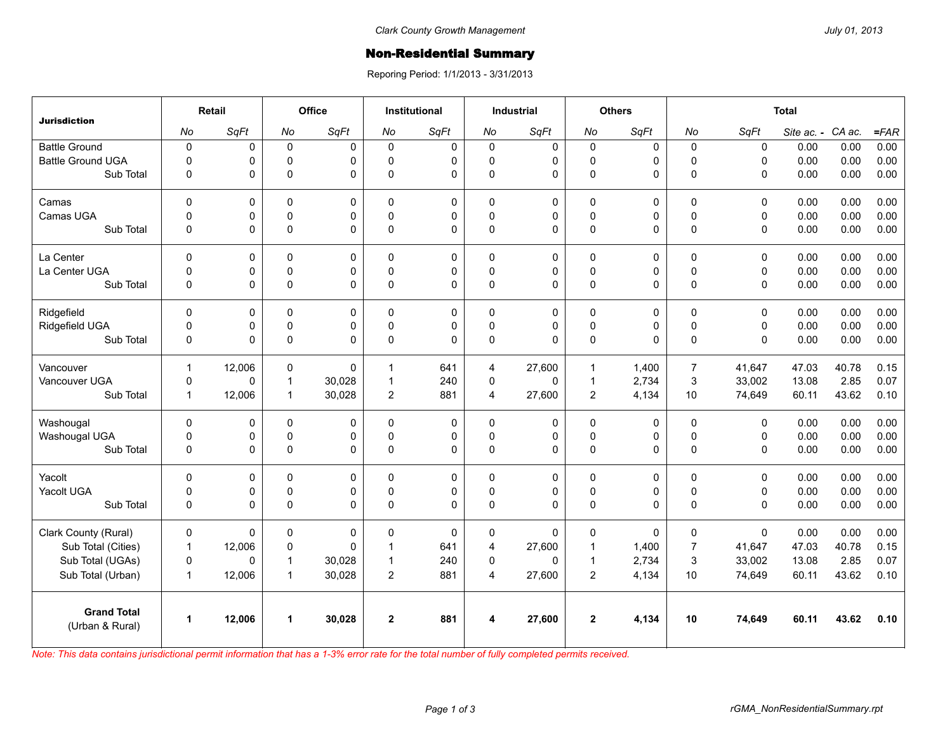## **Non-Residential Summary**

Reporing Period: 1/1/2013 - 3/31/2013

| <b>Jurisdiction</b>                   | <b>Retail</b> |        | Office         |             | <b>Institutional</b> |           | <b>Industrial</b> |             | <b>Others</b>  |           | <b>Total</b>   |              |            |        |         |
|---------------------------------------|---------------|--------|----------------|-------------|----------------------|-----------|-------------------|-------------|----------------|-----------|----------------|--------------|------------|--------|---------|
|                                       | No            | SqFt   | No             | SqFt        | No                   | SqFt      | No                | SqFt        | No             | SqFt      | No             | SqFt         | Site ac. - | CA ac. | $=$ FAR |
| <b>Battle Ground</b>                  | $\pmb{0}$     | 0      | $\pmb{0}$      | 0           | $\mathbf 0$          | 0         | $\mathbf 0$       | 0           | 0              | $\pmb{0}$ | 0              | $\pmb{0}$    | 0.00       | 0.00   | 0.00    |
| <b>Battle Ground UGA</b>              | $\pmb{0}$     | 0      | $\pmb{0}$      | 0           | $\Omega$             | 0         | 0                 | $\mathbf 0$ | 0              | 0         | $\pmb{0}$      | $\mathbf 0$  | 0.00       | 0.00   | 0.00    |
| Sub Total                             | $\mathbf 0$   | 0      | $\pmb{0}$      | 0           | $\Omega$             | 0         | $\mathbf 0$       | 0           | $\mathsf 0$    | 0         | $\mathbf 0$    | $\mathbf 0$  | 0.00       | 0.00   | 0.00    |
| Camas                                 | $\pmb{0}$     | 0      | $\pmb{0}$      | 0           | $\mathbf 0$          | 0         | $\mathbf 0$       | 0           | 0              | 0         | $\pmb{0}$      | $\mathbf 0$  | 0.00       | 0.00   | 0.00    |
| Camas UGA                             | $\pmb{0}$     | 0      | $\mathbf 0$    | 0           | $\Omega$             | 0         | $\mathbf 0$       | $\mathbf 0$ | 0              | 0         | $\pmb{0}$      | $\mathbf 0$  | 0.00       | 0.00   | 0.00    |
| Sub Total                             | $\pmb{0}$     | 0      | $\pmb{0}$      | 0           | $\mathbf 0$          | 0         | $\mathbf 0$       | 0           | $\mathsf 0$    | 0         | $\mathbf 0$    | $\mathsf 0$  | 0.00       | 0.00   | 0.00    |
| La Center                             | $\pmb{0}$     | 0      | $\mathsf 0$    | 0           | $\mathbf 0$          | 0         | $\mathbf 0$       | 0           | 0              | $\pmb{0}$ | $\mathbf 0$    | $\mathbf 0$  | 0.00       | 0.00   | 0.00    |
| La Center UGA                         | $\Omega$      | 0      | $\mathbf 0$    | 0           | $\Omega$             | 0         | $\mathbf 0$       | $\mathbf 0$ | 0              | 0         | $\pmb{0}$      | $\mathsf 0$  | 0.00       | 0.00   | 0.00    |
| Sub Total                             | $\pmb{0}$     | 0      | $\mathsf 0$    | 0           | $\Omega$             | 0         | $\mathbf 0$       | 0           | $\mathsf 0$    | 0         | $\pmb{0}$      | $\mathbf 0$  | 0.00       | 0.00   | 0.00    |
| Ridgefield                            | $\mathbf 0$   | 0      | $\mathbf 0$    | 0           | $\Omega$             | 0         | $\mathbf 0$       | 0           | 0              | 0         | $\mathbf 0$    | $\mathbf 0$  | 0.00       | 0.00   | 0.00    |
| Ridgefield UGA                        | $\pmb{0}$     | 0      | $\pmb{0}$      | 0           | $\Omega$             | 0         | $\pmb{0}$         | $\mathsf 0$ | 0              | 0         | $\pmb{0}$      | $\mathbf 0$  | 0.00       | 0.00   | 0.00    |
| Sub Total                             | $\mathbf 0$   | 0      | $\mathbf 0$    | $\mathbf 0$ | 0                    | 0         | $\mathbf 0$       | 0           | 0              | 0         | $\mathbf 0$    | $\Omega$     | 0.00       | 0.00   | 0.00    |
| Vancouver                             | $\mathbf{1}$  | 12,006 | $\mathbf 0$    | 0           | 1                    | 641       | $\overline{4}$    | 27,600      | 1              | 1,400     | $\overline{7}$ | 41.647       | 47.03      | 40.78  | 0.15    |
| Vancouver UGA                         | $\mathbf 0$   | 0      | $\overline{1}$ | 30,028      | $\mathbf{1}$         | 240       | $\mathbf 0$       | 0           | $\mathbf{1}$   | 2,734     | $\mathbf{3}$   | 33,002       | 13.08      | 2.85   | 0.07    |
| Sub Total                             | $\mathbf{1}$  | 12,006 | $\mathbf{1}$   | 30,028      | $\overline{c}$       | 881       | $\overline{4}$    | 27,600      | $\overline{2}$ | 4,134     | 10             | 74,649       | 60.11      | 43.62  | 0.10    |
| Washougal                             | $\mathbf 0$   | 0      | $\mathbf 0$    | 0           | $\Omega$             | 0         | $\mathbf 0$       | 0           | 0              | 0         | $\mathbf 0$    | $\mathbf 0$  | 0.00       | 0.00   | 0.00    |
| Washougal UGA                         | $\mathsf 0$   | 0      | $\pmb{0}$      | 0           | $\mathbf 0$          | $\pmb{0}$ | $\pmb{0}$         | $\pmb{0}$   | $\mathsf 0$    | 0         | $\pmb{0}$      | $\pmb{0}$    | 0.00       | 0.00   | 0.00    |
| Sub Total                             | $\pmb{0}$     | 0      | $\mathsf 0$    | 0           | $\mathbf 0$          | 0         | $\mathbf 0$       | 0           | 0              | 0         | $\pmb{0}$      | $\mathbf 0$  | 0.00       | 0.00   | 0.00    |
| Yacolt                                | $\mathbf 0$   | 0      | $\mathbf 0$    | 0           | $\Omega$             | 0         | $\mathbf{0}$      | 0           | 0              | 0         | $\mathbf 0$    | $\mathbf 0$  | 0.00       | 0.00   | 0.00    |
| Yacolt UGA                            | $\mathbf 0$   | 0      | $\pmb{0}$      | 0           | $\mathbf 0$          | 0         | $\mathbf 0$       | $\pmb{0}$   | 0              | 0         | $\pmb{0}$      | $\pmb{0}$    | 0.00       | 0.00   | 0.00    |
| Sub Total                             | $\Omega$      | 0      | $\mathsf 0$    | 0           | $\Omega$             | 0         | $\mathbf{0}$      | 0           | 0              | $\Omega$  | $\Omega$       | $\mathbf{0}$ | 0.00       | 0.00   | 0.00    |
| Clark County (Rural)                  | $\mathbf 0$   | 0      | $\mathbf 0$    | 0           | $\Omega$             | 0         | $\mathbf 0$       | 0           | 0              | $\Omega$  | $\mathbf 0$    | $\Omega$     | 0.00       | 0.00   | 0.00    |
| Sub Total (Cities)                    | $\mathbf{1}$  | 12,006 | $\pmb{0}$      | 0           | 1                    | 641       | $\overline{4}$    | 27,600      | $\mathbf{1}$   | 1,400     | $\overline{7}$ | 41,647       | 47.03      | 40.78  | 0.15    |
| Sub Total (UGAs)                      | $\mathbf 0$   | 0      | $\mathbf{1}$   | 30,028      | $\mathbf{1}$         | 240       | $\Omega$          | 0           | 1              | 2,734     | 3              | 33,002       | 13.08      | 2.85   | 0.07    |
| Sub Total (Urban)                     | $\mathbf{1}$  | 12,006 | $\mathbf{1}$   | 30,028      | $\overline{c}$       | 881       | $\overline{4}$    | 27,600      | $\overline{2}$ | 4,134     | 10             | 74,649       | 60.11      | 43.62  | 0.10    |
| <b>Grand Total</b><br>(Urban & Rural) | $\mathbf{1}$  | 12,006 | $\mathbf{1}$   | 30,028      | $\overline{2}$       | 881       | 4                 | 27,600      | $\mathbf 2$    | 4,134     | 10             | 74,649       | 60.11      | 43.62  | 0.10    |

*Note: This data contains jurisdictional permit information that has a 1-3% error rate for the total number of fully completed permits received.*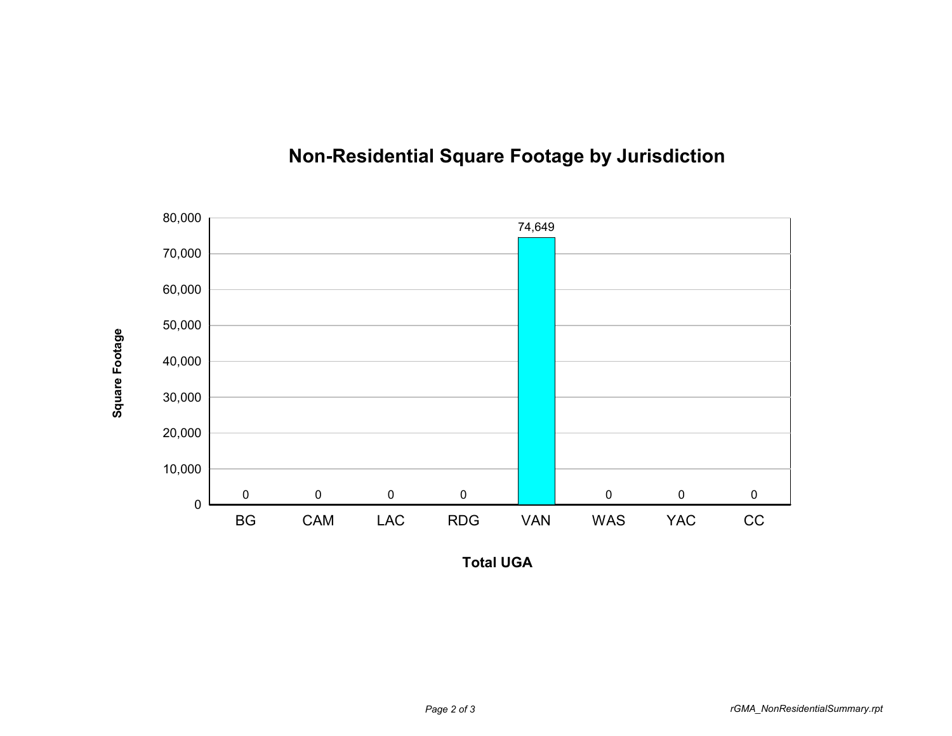

## **Non-Residential Square Footage by Jurisdiction**

**Total UGA**